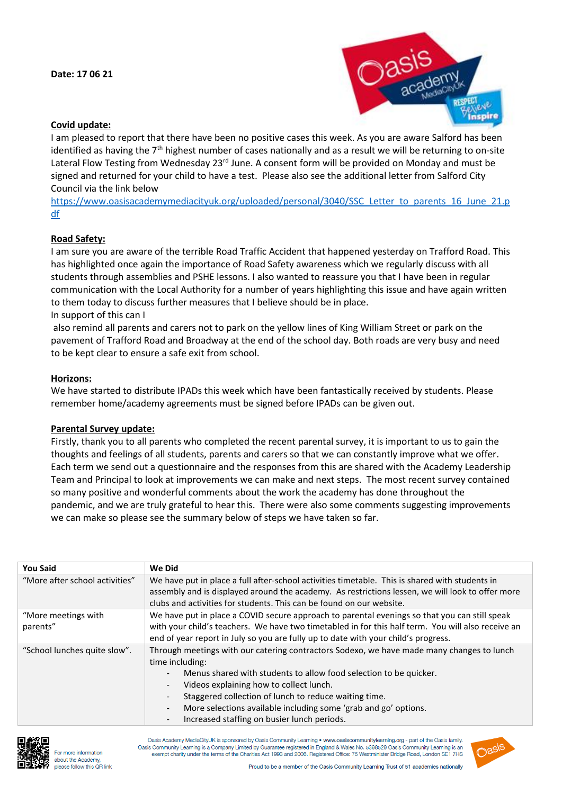

## **Covid update:**

I am pleased to report that there have been no positive cases this week. As you are aware Salford has been identified as having the 7<sup>th</sup> highest number of cases nationally and as a result we will be returning to on-site Lateral Flow Testing from Wednesday 23<sup>rd</sup> June. A consent form will be provided on Monday and must be signed and returned for your child to have a test. Please also see the additional letter from Salford City Council via the link below

[https://www.oasisacademymediacityuk.org/uploaded/personal/3040/SSC\\_Letter\\_to\\_parents\\_16\\_June\\_21.p](https://www.oasisacademymediacityuk.org/uploaded/personal/3040/SSC_Letter_to_parents_16_June_21.pdf) [df](https://www.oasisacademymediacityuk.org/uploaded/personal/3040/SSC_Letter_to_parents_16_June_21.pdf)

### **Road Safety:**

I am sure you are aware of the terrible Road Traffic Accident that happened yesterday on Trafford Road. This has highlighted once again the importance of Road Safety awareness which we regularly discuss with all students through assemblies and PSHE lessons. I also wanted to reassure you that I have been in regular communication with the Local Authority for a number of years highlighting this issue and have again written to them today to discuss further measures that I believe should be in place.

# In support of this can I

also remind all parents and carers not to park on the yellow lines of King William Street or park on the pavement of Trafford Road and Broadway at the end of the school day. Both roads are very busy and need to be kept clear to ensure a safe exit from school.

### **Horizons:**

We have started to distribute IPADs this week which have been fantastically received by students. Please remember home/academy agreements must be signed before IPADs can be given out.

#### **Parental Survey update:**

Firstly, thank you to all parents who completed the recent parental survey, it is important to us to gain the thoughts and feelings of all students, parents and carers so that we can constantly improve what we offer. Each term we send out a questionnaire and the responses from this are shared with the Academy Leadership Team and Principal to look at improvements we can make and next steps. The most recent survey contained so many positive and wonderful comments about the work the academy has done throughout the pandemic, and we are truly grateful to hear this. There were also some comments suggesting improvements we can make so please see the summary below of steps we have taken so far.

| <b>You Said</b>                 | We Did                                                                                                                                                                                                                                                                                                                                                                                                                                                          |  |
|---------------------------------|-----------------------------------------------------------------------------------------------------------------------------------------------------------------------------------------------------------------------------------------------------------------------------------------------------------------------------------------------------------------------------------------------------------------------------------------------------------------|--|
| "More after school activities"  | We have put in place a full after-school activities timetable. This is shared with students in<br>assembly and is displayed around the academy. As restrictions lessen, we will look to offer more<br>clubs and activities for students. This can be found on our website.                                                                                                                                                                                      |  |
| "More meetings with<br>parents" | We have put in place a COVID secure approach to parental evenings so that you can still speak<br>with your child's teachers. We have two timetabled in for this half term. You will also receive an<br>end of year report in July so you are fully up to date with your child's progress.                                                                                                                                                                       |  |
| "School lunches quite slow".    | Through meetings with our catering contractors Sodexo, we have made many changes to lunch<br>time including:<br>Menus shared with students to allow food selection to be quicker.<br>$\overline{\phantom{a}}$<br>Videos explaining how to collect lunch.<br>Staggered collection of lunch to reduce waiting time.<br>More selections available including some 'grab and go' options.<br>$\overline{\phantom{0}}$<br>Increased staffing on busier lunch periods. |  |



For more information about the Academy, please follow this OR link

Oasis Academy MediaCityUK is sponsored by Oasis Community Learning • www.oasiscommunitylearning.org - part of the Oasis family. Oasis Community Learning is a Company Limited by Guarantee registered in England & Wales No. 5398529 Oasis Community Learning is an exempt charity under the terms of the Charities Act 1993 and 2006. Registered Office: 75 Westminister Bridge Road, London SE1 7HS